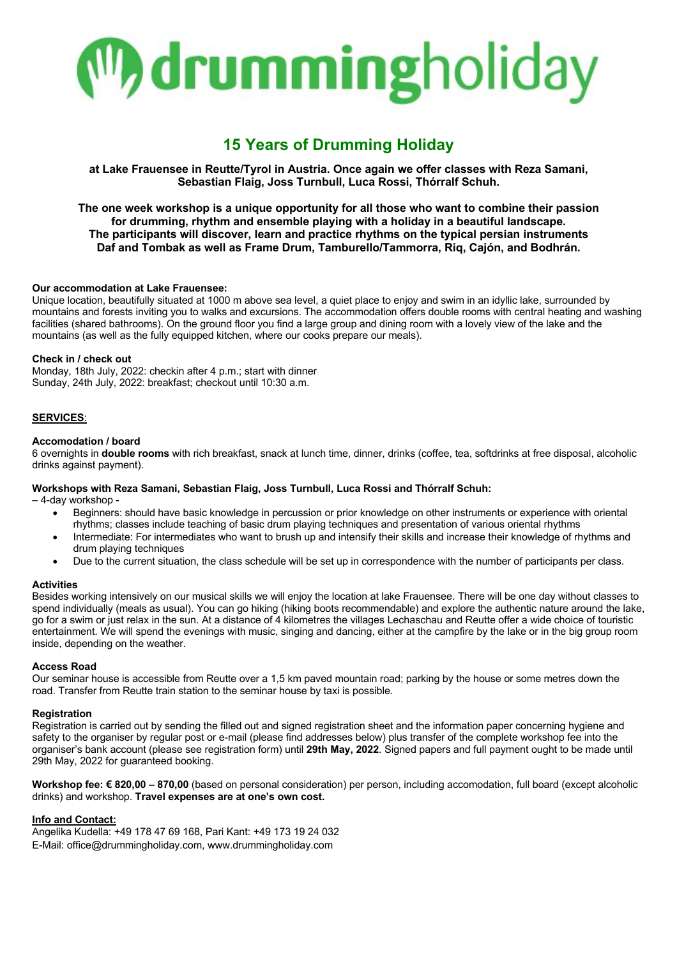

### **15 Years of Drumming Holiday**

**at Lake Frauensee in Reutte/Tyrol in Austria. Once again we offer classes with Reza Samani, Sebastian Flaig, Joss Turnbull, Luca Rossi, Thórralf Schuh.**

**The one week workshop is a unique opportunity for all those who want to combine their passion for drumming, rhythm and ensemble playing with a holiday in a beautiful landscape. The participants will discover, learn and practice rhythms on the typical persian instruments Daf and Tombak as well as Frame Drum, Tamburello/Tammorra, Riq, Cajón, and Bodhrán.**

#### **Our accommodation at Lake Frauensee:**

Unique location, beautifully situated at 1000 m above sea level, a quiet place to enjoy and swim in an idyllic lake, surrounded by mountains and forests inviting you to walks and excursions. The accommodation offers double rooms with central heating and washing facilities (shared bathrooms). On the ground floor you find a large group and dining room with a lovely view of the lake and the mountains (as well as the fully equipped kitchen, where our cooks prepare our meals).

#### **Check in / check out**

Monday, 18th July, 2022: checkin after 4 p.m.; start with dinner Sunday, 24th July, 2022: breakfast; checkout until 10:30 a.m.

#### **SERVICES**:

#### **Accomodation / board**

6 overnights in **double rooms** with rich breakfast, snack at lunch time, dinner, drinks (coffee, tea, softdrinks at free disposal, alcoholic drinks against payment).

#### **Workshops with Reza Samani, Sebastian Flaig, Joss Turnbull, Luca Rossi and Thórralf Schuh:**

– 4-day workshop -

- Beginners: should have basic knowledge in percussion or prior knowledge on other instruments or experience with oriental rhythms; classes include teaching of basic drum playing techniques and presentation of various oriental rhythms
- Intermediate: For intermediates who want to brush up and intensify their skills and increase their knowledge of rhythms and drum playing techniques
- Due to the current situation, the class schedule will be set up in correspondence with the number of participants per class.

#### **Activities**

Besides working intensively on our musical skills we will enjoy the location at lake Frauensee. There will be one day without classes to spend individually (meals as usual). You can go hiking (hiking boots recommendable) and explore the authentic nature around the lake, go for a swim or just relax in the sun. At a distance of 4 kilometres the villages Lechaschau and Reutte offer a wide choice of touristic entertainment. We will spend the evenings with music, singing and dancing, either at the campfire by the lake or in the big group room inside, depending on the weather.

#### **Access Road**

Our seminar house is accessible from Reutte over a 1,5 km paved mountain road; parking by the house or some metres down the road. Transfer from Reutte train station to the seminar house by taxi is possible.

#### **Registration**

Registration is carried out by sending the filled out and signed registration sheet and the information paper concerning hygiene and safety to the organiser by regular post or e-mail (please find addresses below) plus transfer of the complete workshop fee into the organiser's bank account (please see registration form) until **29th May, 2022**. Signed papers and full payment ought to be made until 29th May, 2022 for guaranteed booking.

**Workshop fee: € 820,00 – 870,00** (based on personal consideration) per person, including accomodation, full board (except alcoholic drinks) and workshop. **Travel expenses are at one's own cost.**

#### **Info and Contact:**

Angelika Kudella: +49 178 47 69 168, Pari Kant: +49 173 19 24 032 E-Mail: office@drummingholiday.com, www.drummingholiday.com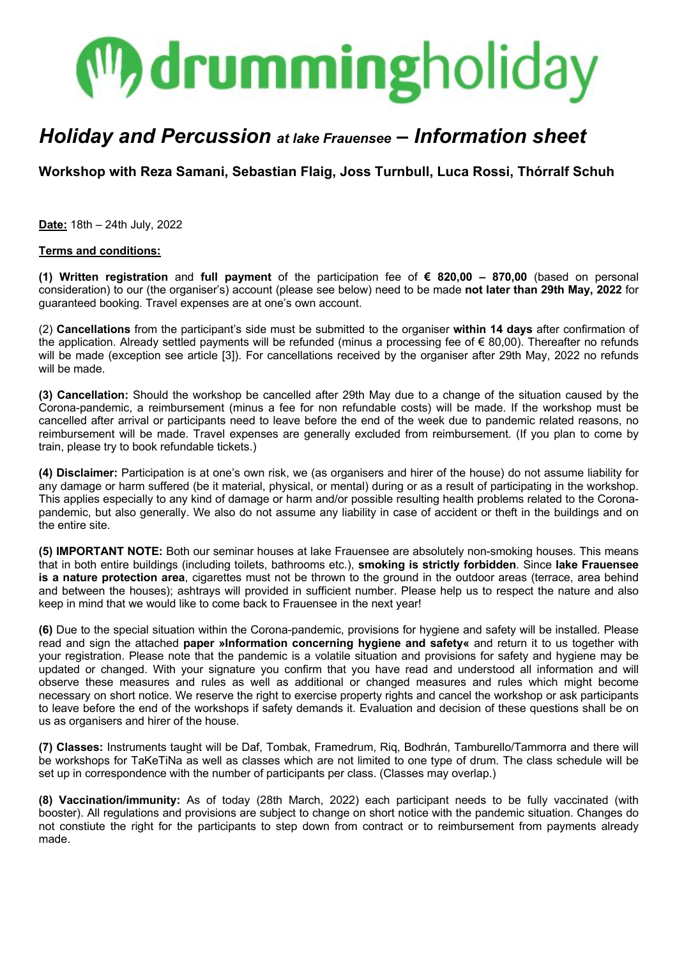## **M**drummingholiday

## *Holiday and Percussion at lake Frauensee – Information sheet*

**Workshop with Reza Samani, Sebastian Flaig, Joss Turnbull, Luca Rossi, Thórralf Schuh**

**Date:** 18th – 24th July, 2022

#### **Terms and conditions:**

**(1) Written registration** and **full payment** of the participation fee of **€ 820,00 – 870,00** (based on personal consideration) to our (the organiser's) account (please see below) need to be made **not later than 29th May, 2022** for guaranteed booking. Travel expenses are at one's own account.

(2) **Cancellations** from the participant's side must be submitted to the organiser **within 14 days** after confirmation of the application. Already settled payments will be refunded (minus a processing fee of € 80,00). Thereafter no refunds will be made (exception see article [3]). For cancellations received by the organiser after 29th May, 2022 no refunds will be made.

**(3) Cancellation:** Should the workshop be cancelled after 29th May due to a change of the situation caused by the Corona-pandemic, a reimbursement (minus a fee for non refundable costs) will be made. If the workshop must be cancelled after arrival or participants need to leave before the end of the week due to pandemic related reasons, no reimbursement will be made. Travel expenses are generally excluded from reimbursement. (If you plan to come by train, please try to book refundable tickets.)

**(4) Disclaimer:** Participation is at one's own risk, we (as organisers and hirer of the house) do not assume liability for any damage or harm suffered (be it material, physical, or mental) during or as a result of participating in the workshop. This applies especially to any kind of damage or harm and/or possible resulting health problems related to the Coronapandemic, but also generally. We also do not assume any liability in case of accident or theft in the buildings and on the entire site.

**(5) IMPORTANT NOTE:** Both our seminar houses at lake Frauensee are absolutely non-smoking houses. This means that in both entire buildings (including toilets, bathrooms etc.), **smoking is strictly forbidden**. Since **lake Frauensee is a nature protection area**, cigarettes must not be thrown to the ground in the outdoor areas (terrace, area behind and between the houses); ashtrays will provided in sufficient number. Please help us to respect the nature and also keep in mind that we would like to come back to Frauensee in the next year!

**(6)** Due to the special situation within the Corona-pandemic, provisions for hygiene and safety will be installed. Please read and sign the attached **paper »Information concerning hygiene and safety«** and return it to us together with your registration. Please note that the pandemic is a volatile situation and provisions for safety and hygiene may be updated or changed. With your signature you confirm that you have read and understood all information and will observe these measures and rules as well as additional or changed measures and rules which might become necessary on short notice. We reserve the right to exercise property rights and cancel the workshop or ask participants to leave before the end of the workshops if safety demands it. Evaluation and decision of these questions shall be on us as organisers and hirer of the house.

**(7) Classes:** Instruments taught will be Daf, Tombak, Framedrum, Riq, Bodhrán, Tamburello/Tammorra and there will be workshops for TaKeTiNa as well as classes which are not limited to one type of drum. The class schedule will be set up in correspondence with the number of participants per class. (Classes may overlap.)

**(8) Vaccination/immunity:** As of today (28th March, 2022) each participant needs to be fully vaccinated (with booster). All regulations and provisions are subject to change on short notice with the pandemic situation. Changes do not constiute the right for the participants to step down from contract or to reimbursement from payments already made.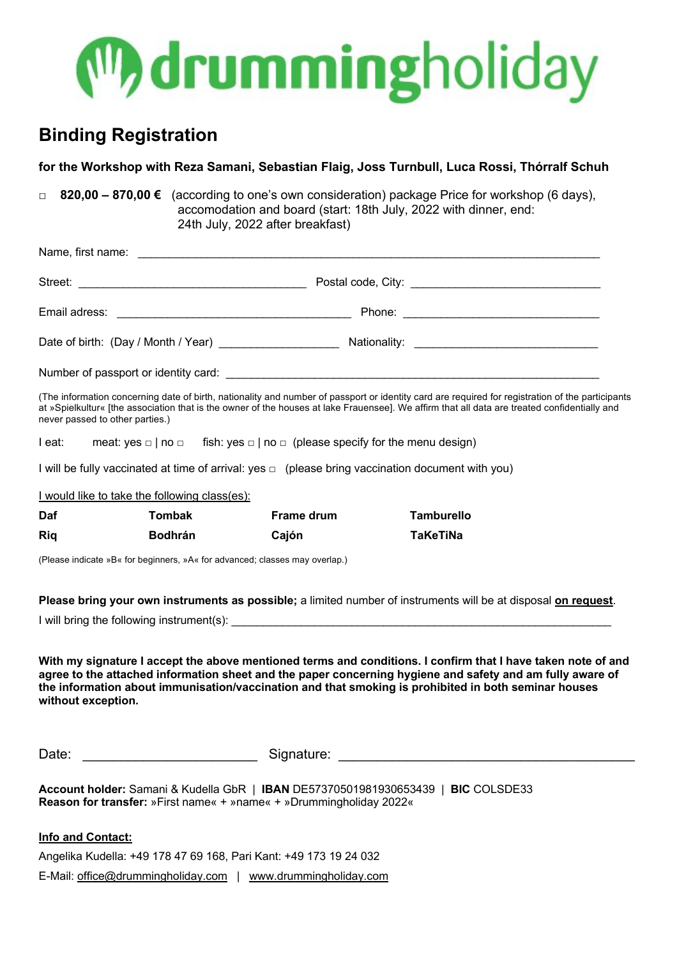

## **Binding Registration**

| for the Workshop with Reza Samani, Sebastian Flaig, Joss Turnbull, Luca Rossi, Thórralf Schuh                                                                                                                                                                                                                                                           |                |            |                   |
|---------------------------------------------------------------------------------------------------------------------------------------------------------------------------------------------------------------------------------------------------------------------------------------------------------------------------------------------------------|----------------|------------|-------------------|
| 820,00 - 870,00 € (according to one's own consideration) package Price for workshop (6 days),<br>$\Box$<br>accomodation and board (start: 18th July, 2022 with dinner, end:<br>24th July, 2022 after breakfast)                                                                                                                                         |                |            |                   |
|                                                                                                                                                                                                                                                                                                                                                         |                |            |                   |
|                                                                                                                                                                                                                                                                                                                                                         |                |            |                   |
|                                                                                                                                                                                                                                                                                                                                                         |                |            |                   |
|                                                                                                                                                                                                                                                                                                                                                         |                |            |                   |
|                                                                                                                                                                                                                                                                                                                                                         |                |            |                   |
| (The information concerning date of birth, nationality and number of passport or identity card are required for registration of the participants<br>at »Spielkultur« [the association that is the owner of the houses at lake Frauensee]. We affirm that all data are treated confidentially and<br>never passed to other parties.)                     |                |            |                   |
| meat: yes $\Box$   no $\Box$ fish: yes $\Box$   no $\Box$ (please specify for the menu design)<br>I eat:                                                                                                                                                                                                                                                |                |            |                   |
| I will be fully vaccinated at time of arrival: yes $\Box$ (please bring vaccination document with you)                                                                                                                                                                                                                                                  |                |            |                   |
| I would like to take the following class(es):                                                                                                                                                                                                                                                                                                           |                |            |                   |
| Daf                                                                                                                                                                                                                                                                                                                                                     | <b>Tombak</b>  | Frame drum | <b>Tamburello</b> |
| <b>Riq</b>                                                                                                                                                                                                                                                                                                                                              | <b>Bodhrán</b> | Cajón      | <b>TaKeTiNa</b>   |
| (Please indicate »B« for beginners, »A« for advanced; classes may overlap.)                                                                                                                                                                                                                                                                             |                |            |                   |
| Please bring your own instruments as possible; a limited number of instruments will be at disposal on request.                                                                                                                                                                                                                                          |                |            |                   |
|                                                                                                                                                                                                                                                                                                                                                         |                |            |                   |
| With my signature I accept the above mentioned terms and conditions. I confirm that I have taken note of and<br>agree to the attached information sheet and the paper concerning hygiene and safety and am fully aware of<br>the information about immunisation/vaccination and that smoking is prohibited in both seminar houses<br>without exception. |                |            |                   |
| Date:                                                                                                                                                                                                                                                                                                                                                   |                |            |                   |

**Account holder:** Samani & Kudella GbR | **IBAN** DE57370501981930653439 | **BIC** COLSDE33 **Reason for transfer:** »First name« + »name« + »Drummingholiday 2022«

#### **Info and Contact:**

Angelika Kudella: +49 178 47 69 168, Pari Kant: +49 173 19 24 032

E-Mail: office@drummingholiday.com | www.drummingholiday.com